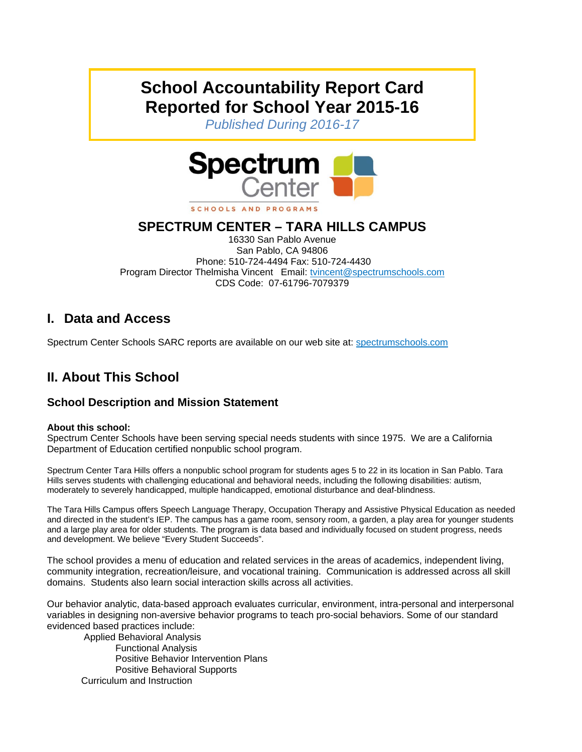# **School Accountability Report Card Reported for School Year 2015-16**

*Published During 2016-17* 



## **SPECTRUM CENTER – TARA HILLS CAMPUS**

16330 San Pablo Avenue San Pablo, CA 94806 Phone: 510-724-4494 Fax: 510-724-4430 Program Director Thelmisha Vincent Email: tvincent@spectrumschools.com CDS Code: 07-61796-7079379

## **I. Data and Access**

Spectrum Center Schools SARC reports are available on our web site at: spectrumschools.com

## **II. About This School**

#### **School Description and Mission Statement**

#### **About this school:**

Spectrum Center Schools have been serving special needs students with since 1975. We are a California Department of Education certified nonpublic school program.

Spectrum Center Tara Hills offers a nonpublic school program for students ages 5 to 22 in its location in San Pablo. Tara Hills serves students with challenging educational and behavioral needs, including the following disabilities: autism, moderately to severely handicapped, multiple handicapped, emotional disturbance and deaf-blindness.

The Tara Hills Campus offers Speech Language Therapy, Occupation Therapy and Assistive Physical Education as needed and directed in the student's IEP. The campus has a game room, sensory room, a garden, a play area for younger students and a large play area for older students. The program is data based and individually focused on student progress, needs and development. We believe "Every Student Succeeds".

The school provides a menu of education and related services in the areas of academics, independent living, community integration, recreation/leisure, and vocational training. Communication is addressed across all skill domains. Students also learn social interaction skills across all activities.

Our behavior analytic, data-based approach evaluates curricular, environment, intra-personal and interpersonal variables in designing non-aversive behavior programs to teach pro-social behaviors. Some of our standard evidenced based practices include:

 Applied Behavioral Analysis Functional Analysis Positive Behavior Intervention Plans Positive Behavioral Supports Curriculum and Instruction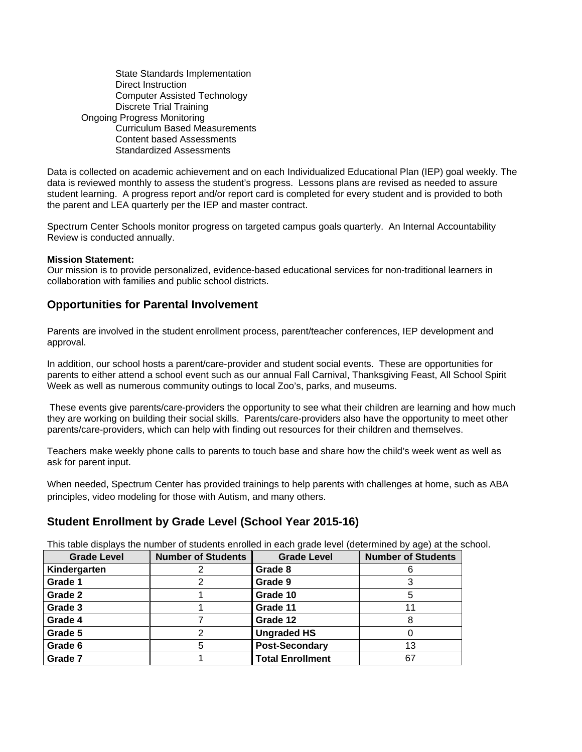State Standards Implementation Direct Instruction Computer Assisted Technology Discrete Trial Training Ongoing Progress Monitoring Curriculum Based Measurements Content based Assessments Standardized Assessments

Data is collected on academic achievement and on each Individualized Educational Plan (IEP) goal weekly. The data is reviewed monthly to assess the student's progress. Lessons plans are revised as needed to assure student learning. A progress report and/or report card is completed for every student and is provided to both the parent and LEA quarterly per the IEP and master contract.

Spectrum Center Schools monitor progress on targeted campus goals quarterly. An Internal Accountability Review is conducted annually.

#### **Mission Statement:**

Our mission is to provide personalized, evidence-based educational services for non-traditional learners in collaboration with families and public school districts.

#### **Opportunities for Parental Involvement**

Parents are involved in the student enrollment process, parent/teacher conferences, IEP development and approval.

In addition, our school hosts a parent/care-provider and student social events. These are opportunities for parents to either attend a school event such as our annual Fall Carnival, Thanksgiving Feast, All School Spirit Week as well as numerous community outings to local Zoo's, parks, and museums.

 These events give parents/care-providers the opportunity to see what their children are learning and how much they are working on building their social skills. Parents/care-providers also have the opportunity to meet other parents/care-providers, which can help with finding out resources for their children and themselves.

Teachers make weekly phone calls to parents to touch base and share how the child's week went as well as ask for parent input.

When needed, Spectrum Center has provided trainings to help parents with challenges at home, such as ABA principles, video modeling for those with Autism, and many others.

#### **Student Enrollment by Grade Level (School Year 2015-16)**

This table displays the number of students enrolled in each grade level (determined by age) at the school.

| <b>Grade Level</b> | <b>Number of Students</b> | <b>Grade Level</b>      | <b>Number of Students</b> |
|--------------------|---------------------------|-------------------------|---------------------------|
| Kindergarten       |                           | Grade 8                 |                           |
| Grade 1            |                           | Grade 9                 |                           |
| Grade 2            |                           | Grade 10                |                           |
| Grade 3            |                           | Grade 11                | 11                        |
| Grade 4            |                           | Grade 12                |                           |
| Grade 5            | っ                         | <b>Ungraded HS</b>      |                           |
| Grade 6            | 5                         | <b>Post-Secondary</b>   | 13                        |
| Grade 7            |                           | <b>Total Enrollment</b> | 67                        |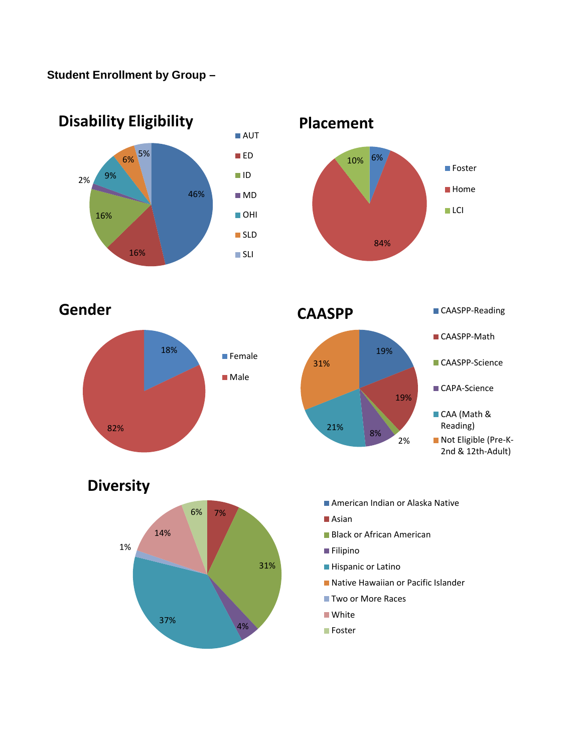### **Student Enrollment by Group –**





**Gender**







7% 31% 4% 37% 1% 14% 6% **Diversity**

■ American Indian or Alaska Native

- Asian
- **Black or African American**
- **Filipino**
- **Hispanic or Latino**
- Native Hawaiian or Pacific Islander
- Two or More Races
- **White**
- **Foster**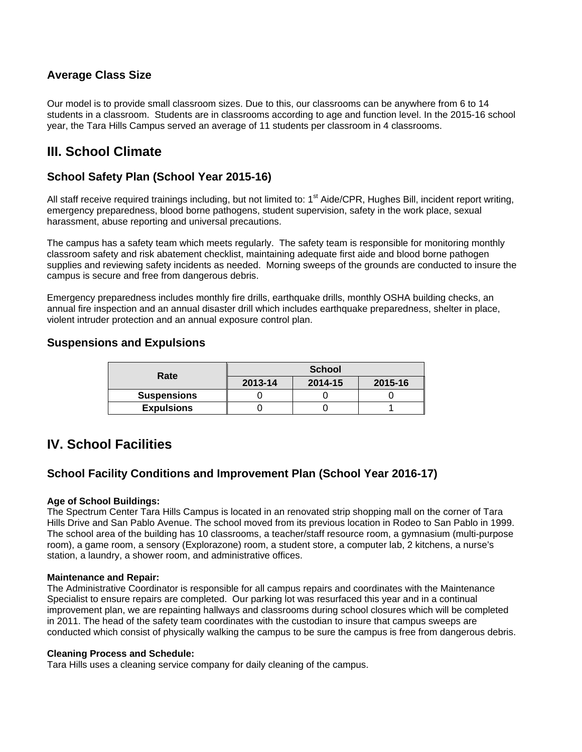#### **Average Class Size**

Our model is to provide small classroom sizes. Due to this, our classrooms can be anywhere from 6 to 14 students in a classroom. Students are in classrooms according to age and function level. In the 2015-16 school year, the Tara Hills Campus served an average of 11 students per classroom in 4 classrooms.

## **III. School Climate**

### **School Safety Plan (School Year 2015-16)**

All staff receive required trainings including, but not limited to: 1<sup>st</sup> Aide/CPR, Hughes Bill, incident report writing, emergency preparedness, blood borne pathogens, student supervision, safety in the work place, sexual harassment, abuse reporting and universal precautions.

The campus has a safety team which meets regularly. The safety team is responsible for monitoring monthly classroom safety and risk abatement checklist, maintaining adequate first aide and blood borne pathogen supplies and reviewing safety incidents as needed. Morning sweeps of the grounds are conducted to insure the campus is secure and free from dangerous debris.

Emergency preparedness includes monthly fire drills, earthquake drills, monthly OSHA building checks, an annual fire inspection and an annual disaster drill which includes earthquake preparedness, shelter in place, violent intruder protection and an annual exposure control plan.

#### **Suspensions and Expulsions**

| Rate               | <b>School</b> |         |         |  |
|--------------------|---------------|---------|---------|--|
|                    | 2013-14       | 2014-15 | 2015-16 |  |
| <b>Suspensions</b> |               |         |         |  |
| <b>Expulsions</b>  |               |         |         |  |

### **IV. School Facilities**

#### **School Facility Conditions and Improvement Plan (School Year 2016-17)**

#### **Age of School Buildings:**

The Spectrum Center Tara Hills Campus is located in an renovated strip shopping mall on the corner of Tara Hills Drive and San Pablo Avenue. The school moved from its previous location in Rodeo to San Pablo in 1999. The school area of the building has 10 classrooms, a teacher/staff resource room, a gymnasium (multi-purpose room), a game room, a sensory (Explorazone) room, a student store, a computer lab, 2 kitchens, a nurse's station, a laundry, a shower room, and administrative offices.

#### **Maintenance and Repair:**

The Administrative Coordinator is responsible for all campus repairs and coordinates with the Maintenance Specialist to ensure repairs are completed. Our parking lot was resurfaced this year and in a continual improvement plan, we are repainting hallways and classrooms during school closures which will be completed in 2011. The head of the safety team coordinates with the custodian to insure that campus sweeps are conducted which consist of physically walking the campus to be sure the campus is free from dangerous debris.

#### **Cleaning Process and Schedule:**

Tara Hills uses a cleaning service company for daily cleaning of the campus.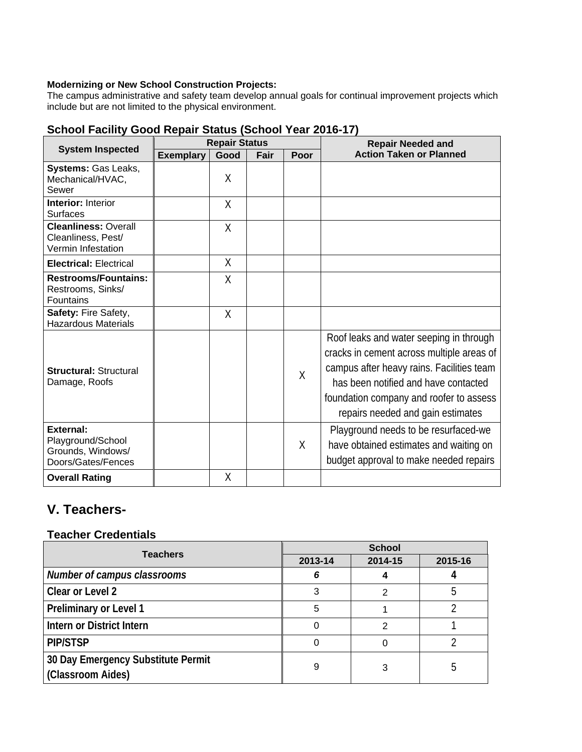#### **Modernizing or New School Construction Projects:**

The campus administrative and safety team develop annual goals for continual improvement projects which include but are not limited to the physical environment.

|                                                                                  | <u>ochool Fachity Oboa Repair Olatus (Ochool Tear Zo Iv-Tri</u><br><b>Repair Status</b> |        |      |         | <b>Repair Needed and</b>                                                                                                                                                                                                                                  |  |
|----------------------------------------------------------------------------------|-----------------------------------------------------------------------------------------|--------|------|---------|-----------------------------------------------------------------------------------------------------------------------------------------------------------------------------------------------------------------------------------------------------------|--|
| <b>System Inspected</b>                                                          | <b>Exemplary</b>                                                                        | Good   | Fair | Poor    | <b>Action Taken or Planned</b>                                                                                                                                                                                                                            |  |
| Systems: Gas Leaks,<br>Mechanical/HVAC,<br>Sewer                                 |                                                                                         | X      |      |         |                                                                                                                                                                                                                                                           |  |
| <b>Interior: Interior</b><br><b>Surfaces</b>                                     |                                                                                         | X      |      |         |                                                                                                                                                                                                                                                           |  |
| <b>Cleanliness: Overall</b><br>Cleanliness, Pest/<br>Vermin Infestation          |                                                                                         | $\chi$ |      |         |                                                                                                                                                                                                                                                           |  |
| <b>Electrical: Electrical</b>                                                    |                                                                                         | X      |      |         |                                                                                                                                                                                                                                                           |  |
| <b>Restrooms/Fountains:</b><br>Restrooms, Sinks/<br>Fountains                    |                                                                                         | χ      |      |         |                                                                                                                                                                                                                                                           |  |
| Safety: Fire Safety,<br><b>Hazardous Materials</b>                               |                                                                                         | X      |      |         |                                                                                                                                                                                                                                                           |  |
| <b>Structural: Structural</b><br>Damage, Roofs                                   |                                                                                         |        |      | $\sf X$ | Roof leaks and water seeping in through<br>cracks in cement across multiple areas of<br>campus after heavy rains. Facilities team<br>has been notified and have contacted<br>foundation company and roofer to assess<br>repairs needed and gain estimates |  |
| <b>External:</b><br>Playground/School<br>Grounds, Windows/<br>Doors/Gates/Fences |                                                                                         |        |      | χ       | Playground needs to be resurfaced-we<br>have obtained estimates and waiting on<br>budget approval to make needed repairs                                                                                                                                  |  |
| <b>Overall Rating</b>                                                            |                                                                                         | Χ      |      |         |                                                                                                                                                                                                                                                           |  |

## **School Facility Good Repair Status (School Year 2016-17)**

## **V. Teachers-**

#### **Teacher Credentials**

| <b>Teachers</b>                                         | <b>School</b> |         |         |  |
|---------------------------------------------------------|---------------|---------|---------|--|
|                                                         | 2013-14       | 2014-15 | 2015-16 |  |
| Number of campus classrooms                             | 6             |         |         |  |
| Clear or Level 2                                        | 3             |         |         |  |
| <b>Preliminary or Level 1</b>                           | 5             |         |         |  |
| Intern or District Intern                               |               |         |         |  |
| <b>PIP/STSP</b>                                         |               |         |         |  |
| 30 Day Emergency Substitute Permit<br>(Classroom Aides) | 9             | 3       |         |  |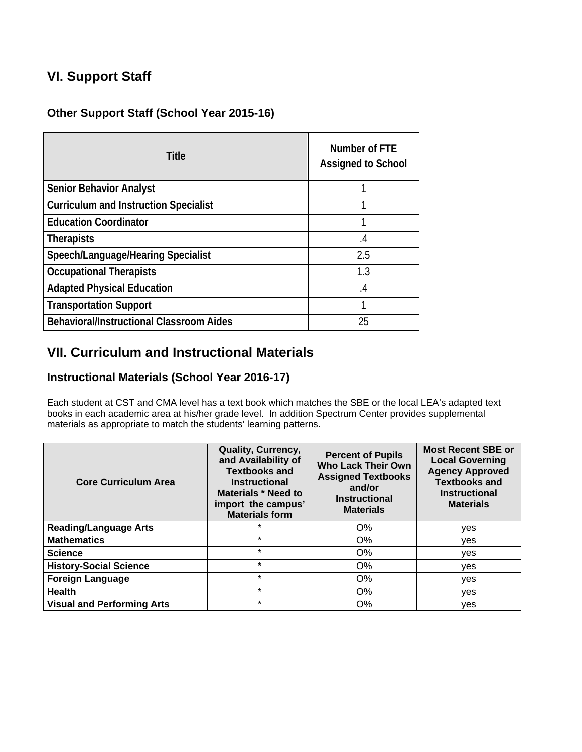## **VI. Support Staff**

### **Other Support Staff (School Year 2015-16)**

| <b>Title</b>                                    | Number of FTE<br><b>Assigned to School</b> |
|-------------------------------------------------|--------------------------------------------|
| <b>Senior Behavior Analyst</b>                  |                                            |
| <b>Curriculum and Instruction Specialist</b>    |                                            |
| <b>Education Coordinator</b>                    |                                            |
| Therapists                                      | .4                                         |
| Speech/Language/Hearing Specialist              | 2.5                                        |
| <b>Occupational Therapists</b>                  | 1.3                                        |
| <b>Adapted Physical Education</b>               | $\cdot$                                    |
| <b>Transportation Support</b>                   |                                            |
| <b>Behavioral/Instructional Classroom Aides</b> | 25                                         |

## **VII. Curriculum and Instructional Materials**

### **Instructional Materials (School Year 2016-17)**

Each student at CST and CMA level has a text book which matches the SBE or the local LEA's adapted text books in each academic area at his/her grade level. In addition Spectrum Center provides supplemental materials as appropriate to match the students' learning patterns.

| <b>Core Curriculum Area</b>       | <b>Quality, Currency,</b><br>and Availability of<br><b>Textbooks and</b><br><b>Instructional</b><br><b>Materials * Need to</b><br>import the campus'<br><b>Materials form</b> | <b>Percent of Pupils</b><br><b>Who Lack Their Own</b><br><b>Assigned Textbooks</b><br>and/or<br><b>Instructional</b><br><b>Materials</b> | <b>Most Recent SBE or</b><br><b>Local Governing</b><br><b>Agency Approved</b><br><b>Textbooks and</b><br><b>Instructional</b><br><b>Materials</b> |
|-----------------------------------|-------------------------------------------------------------------------------------------------------------------------------------------------------------------------------|------------------------------------------------------------------------------------------------------------------------------------------|---------------------------------------------------------------------------------------------------------------------------------------------------|
| <b>Reading/Language Arts</b>      |                                                                                                                                                                               | O%                                                                                                                                       | yes                                                                                                                                               |
| <b>Mathematics</b>                | $\star$                                                                                                                                                                       | $O\%$                                                                                                                                    | ves                                                                                                                                               |
| <b>Science</b>                    | $\star$                                                                                                                                                                       | $O\%$                                                                                                                                    | ves                                                                                                                                               |
| <b>History-Social Science</b>     | $\star$                                                                                                                                                                       | O%                                                                                                                                       | ves                                                                                                                                               |
| <b>Foreign Language</b>           | $\star$                                                                                                                                                                       | O%                                                                                                                                       | yes                                                                                                                                               |
| <b>Health</b>                     | $\star$                                                                                                                                                                       | $O\%$                                                                                                                                    | yes                                                                                                                                               |
| <b>Visual and Performing Arts</b> | $\star$                                                                                                                                                                       | O%                                                                                                                                       | yes                                                                                                                                               |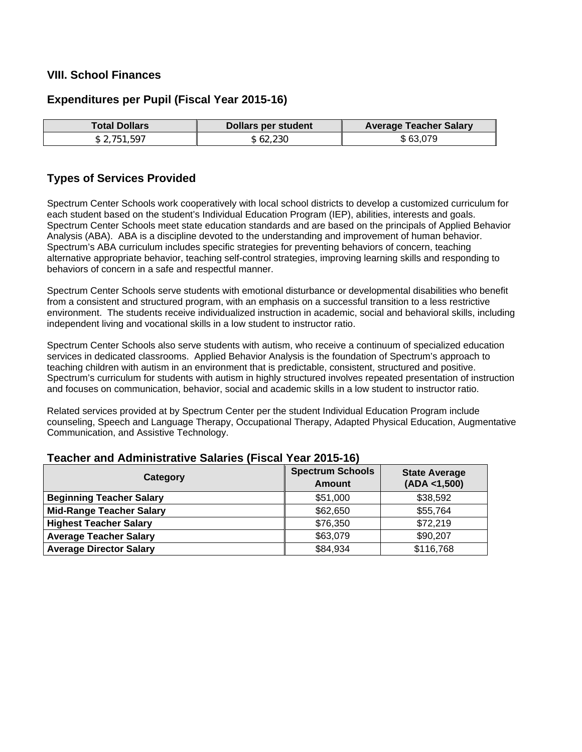#### **VIII. School Finances**

#### **Expenditures per Pupil (Fiscal Year 2015-16)**

| Total Dollars I | Dollars per student | <b>Average Teacher Salary</b> |
|-----------------|---------------------|-------------------------------|
| \$2.751.597     | . 62.230 ه          | \$63,079                      |

#### **Types of Services Provided**

Spectrum Center Schools work cooperatively with local school districts to develop a customized curriculum for each student based on the student's Individual Education Program (IEP), abilities, interests and goals. Spectrum Center Schools meet state education standards and are based on the principals of Applied Behavior Analysis (ABA). ABA is a discipline devoted to the understanding and improvement of human behavior. Spectrum's ABA curriculum includes specific strategies for preventing behaviors of concern, teaching alternative appropriate behavior, teaching self-control strategies, improving learning skills and responding to behaviors of concern in a safe and respectful manner.

Spectrum Center Schools serve students with emotional disturbance or developmental disabilities who benefit from a consistent and structured program, with an emphasis on a successful transition to a less restrictive environment. The students receive individualized instruction in academic, social and behavioral skills, including independent living and vocational skills in a low student to instructor ratio.

Spectrum Center Schools also serve students with autism, who receive a continuum of specialized education services in dedicated classrooms. Applied Behavior Analysis is the foundation of Spectrum's approach to teaching children with autism in an environment that is predictable, consistent, structured and positive. Spectrum's curriculum for students with autism in highly structured involves repeated presentation of instruction and focuses on communication, behavior, social and academic skills in a low student to instructor ratio.

Related services provided at by Spectrum Center per the student Individual Education Program include counseling, Speech and Language Therapy, Occupational Therapy, Adapted Physical Education, Augmentative Communication, and Assistive Technology.

| Category                        | <b>Spectrum Schools</b><br><b>Amount</b> | <b>State Average</b><br>(ADA < 1,500) |  |  |
|---------------------------------|------------------------------------------|---------------------------------------|--|--|
| <b>Beginning Teacher Salary</b> | \$51,000                                 | \$38,592                              |  |  |
| <b>Mid-Range Teacher Salary</b> | \$62,650                                 | \$55,764                              |  |  |
| <b>Highest Teacher Salary</b>   | \$76,350                                 | \$72,219                              |  |  |
| <b>Average Teacher Salary</b>   | \$63,079                                 | \$90,207                              |  |  |
| <b>Average Director Salary</b>  | \$84,934                                 | \$116,768                             |  |  |

#### **Teacher and Administrative Salaries (Fiscal Year 2015-16)**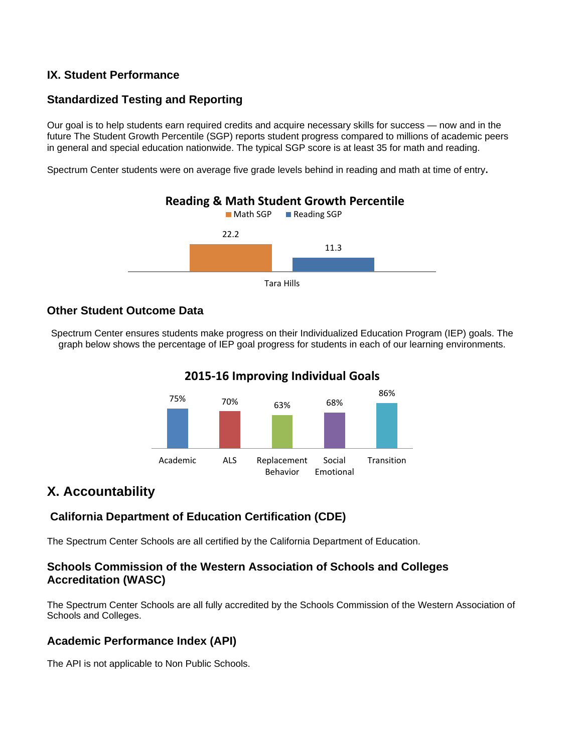#### **IX. Student Performance**

### **Standardized Testing and Reporting**

Our goal is to help students earn required credits and acquire necessary skills for success — now and in the future The Student Growth Percentile (SGP) reports student progress compared to millions of academic peers in general and special education nationwide. The typical SGP score is at least 35 for math and reading.

Spectrum Center students were on average five grade levels behind in reading and math at time of entry**.**



### **Other Student Outcome Data**

Spectrum Center ensures students make progress on their Individualized Education Program (IEP) goals. The graph below shows the percentage of IEP goal progress for students in each of our learning environments.

### **2015‐16 Improving Individual Goals**



## **X. Accountability**

### **California Department of Education Certification (CDE)**

The Spectrum Center Schools are all certified by the California Department of Education.

### **Schools Commission of the Western Association of Schools and Colleges Accreditation (WASC)**

The Spectrum Center Schools are all fully accredited by the Schools Commission of the Western Association of Schools and Colleges.

### **Academic Performance Index (API)**

The API is not applicable to Non Public Schools.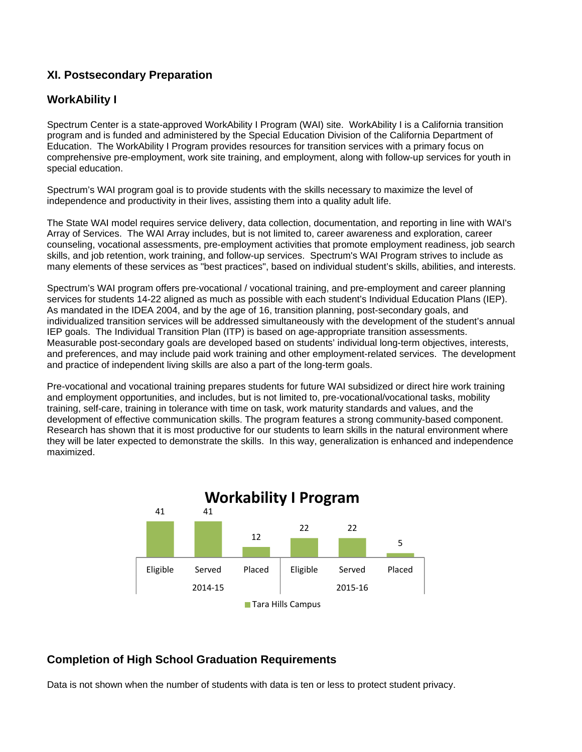### **XI. Postsecondary Preparation**

#### **WorkAbility I**

Spectrum Center is a state-approved WorkAbility I Program (WAI) site. WorkAbility I is a California transition program and is funded and administered by the Special Education Division of the California Department of Education. The WorkAbility I Program provides resources for transition services with a primary focus on comprehensive pre-employment, work site training, and employment, along with follow-up services for youth in special education.

Spectrum's WAI program goal is to provide students with the skills necessary to maximize the level of independence and productivity in their lives, assisting them into a quality adult life.

The State WAI model requires service delivery, data collection, documentation, and reporting in line with WAI's Array of Services. The WAI Array includes, but is not limited to, career awareness and exploration, career counseling, vocational assessments, pre-employment activities that promote employment readiness, job search skills, and job retention, work training, and follow-up services. Spectrum's WAI Program strives to include as many elements of these services as "best practices", based on individual student's skills, abilities, and interests.

Spectrum's WAI program offers pre-vocational / vocational training, and pre-employment and career planning services for students 14-22 aligned as much as possible with each student's Individual Education Plans (IEP). As mandated in the IDEA 2004, and by the age of 16, transition planning, post-secondary goals, and individualized transition services will be addressed simultaneously with the development of the student's annual IEP goals. The Individual Transition Plan (ITP) is based on age-appropriate transition assessments. Measurable post-secondary goals are developed based on students' individual long-term objectives, interests, and preferences, and may include paid work training and other employment-related services. The development and practice of independent living skills are also a part of the long-term goals.

Pre-vocational and vocational training prepares students for future WAI subsidized or direct hire work training and employment opportunities, and includes, but is not limited to, pre-vocational/vocational tasks, mobility training, self-care, training in tolerance with time on task, work maturity standards and values, and the development of effective communication skills. The program features a strong community-based component. Research has shown that it is most productive for our students to learn skills in the natural environment where they will be later expected to demonstrate the skills. In this way, generalization is enhanced and independence maximized.



#### **Completion of High School Graduation Requirements**

Data is not shown when the number of students with data is ten or less to protect student privacy.